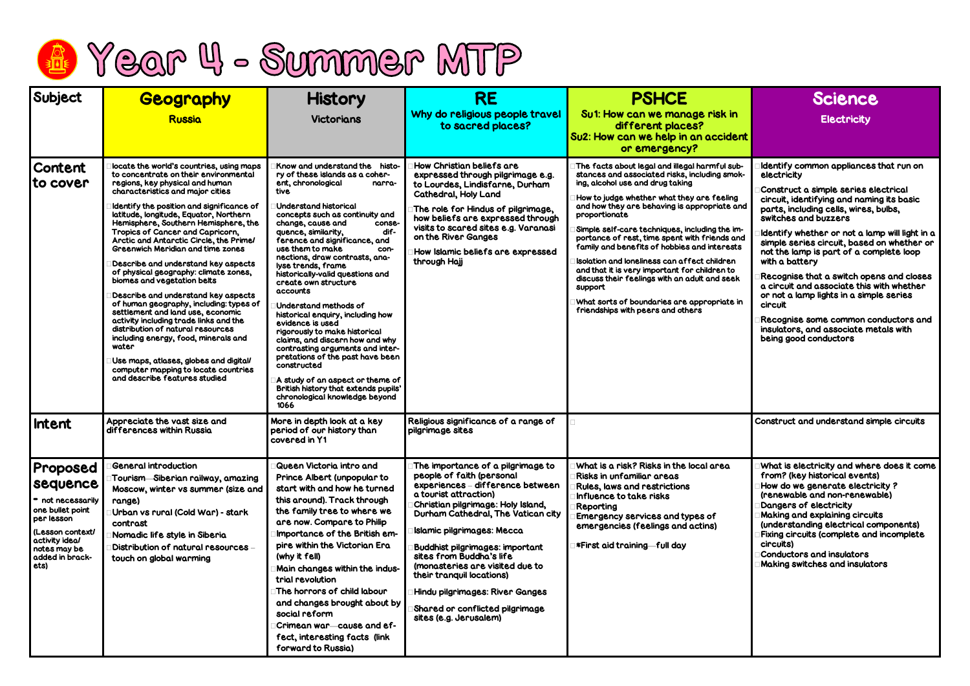|  |  |  | <b>R</b> Year 4 - Summer MTP |  |  |
|--|--|--|------------------------------|--|--|
|--|--|--|------------------------------|--|--|

| Subject                                                                                                                                                                    | Geography<br><b>Russia</b>                                                                                                                                                                                                                                                                                                                                                                                                                                                                                                                                                                                                                                                                                                                                                                                                                                                                                  | <b>History</b><br><b>Victorians</b>                                                                                                                                                                                                                                                                                                                                                                                                                                                                                                                                                                                                                                                                                                                                                                 | <b>RE</b><br>Why do religious people travel<br>to sacred places?                                                                                                                                                                                                                                                                                                                                                                                                                   | <b>PSHCE</b><br>Su1: How can we manage risk in<br>different places?<br>Su2: How can we help in an accident<br>or emergency?                                                                                                                                                                                                                                                                                                                                                                                                                                                                                                                            | <b>Science</b><br><b>Electricity</b>                                                                                                                                                                                                                                                                                                                                                                                                                                                                                                                                                                                       |
|----------------------------------------------------------------------------------------------------------------------------------------------------------------------------|-------------------------------------------------------------------------------------------------------------------------------------------------------------------------------------------------------------------------------------------------------------------------------------------------------------------------------------------------------------------------------------------------------------------------------------------------------------------------------------------------------------------------------------------------------------------------------------------------------------------------------------------------------------------------------------------------------------------------------------------------------------------------------------------------------------------------------------------------------------------------------------------------------------|-----------------------------------------------------------------------------------------------------------------------------------------------------------------------------------------------------------------------------------------------------------------------------------------------------------------------------------------------------------------------------------------------------------------------------------------------------------------------------------------------------------------------------------------------------------------------------------------------------------------------------------------------------------------------------------------------------------------------------------------------------------------------------------------------------|------------------------------------------------------------------------------------------------------------------------------------------------------------------------------------------------------------------------------------------------------------------------------------------------------------------------------------------------------------------------------------------------------------------------------------------------------------------------------------|--------------------------------------------------------------------------------------------------------------------------------------------------------------------------------------------------------------------------------------------------------------------------------------------------------------------------------------------------------------------------------------------------------------------------------------------------------------------------------------------------------------------------------------------------------------------------------------------------------------------------------------------------------|----------------------------------------------------------------------------------------------------------------------------------------------------------------------------------------------------------------------------------------------------------------------------------------------------------------------------------------------------------------------------------------------------------------------------------------------------------------------------------------------------------------------------------------------------------------------------------------------------------------------------|
| Content<br>to cover                                                                                                                                                        | locate the world's countries, using maps<br>to concentrate on their environmental<br>regions, key physical and human<br>characteristics and major cities<br>Identify the position and significance of<br>latitude, longitude, Equator, Northern<br>Hemisphere, Southern Hemisphere, the<br>Tropics of Cancer and Capricorn,<br>Arctic and Antarctic Circle, the Prime/<br><b>Greenwich Meridian and time zones</b><br>Describe and understand key aspects<br>of physical geography: climate zones,<br>biomes and vegetation belts<br>Describe and understand key aspects<br>of human geography, including: types of<br>settlement and land use, economic<br>activity including trade links and the<br>distribution of natural resources<br>including energy, food, minerals and<br>water<br>Use maps, atlases, globes and digital/<br>computer mapping to locate countries<br>and describe features studied | Know and understand the histo-<br>ry of these islands as a coher-<br>ent, chronological<br>narra-<br>tive<br>Understand historical<br>concepts such as continuity and<br>change, cause and<br>conse-<br>dif-<br>quence, similarity,<br>ference and significance, and<br>use them to make<br>con-<br>nections, draw contrasts, ana-<br>lyse trends, frame<br>historically-valid questions and<br>create own structure<br>accounts<br>Understand methods of<br>historical enquiry, including how<br>evidence is used<br>rigorously to make historical<br>claims, and discern how and why<br>contrasting arguments and inter-<br>pretations of the past have been<br>constructed<br>A study of an aspect or theme of<br>British history that extends pupils'<br>chronological knowledge beyond<br>1066 | How Christian beliefs are<br>expressed through pilgrimage e.g.<br>to Lourdes, Lindisfarne, Durham<br><b>Cathedral, Holy Land</b><br>The role for Hindus of pilgrimage,<br>how beliefs are expressed through<br>visits to scared sites e.g. Varanasi<br>on the River Ganges<br>How Islamic beliefs are expressed<br>through Hajj                                                                                                                                                    | The facts about legal and illegal harmful sub-<br>stances and associated risks, including smok-<br>ing, alcohol use and drug taking<br>How to judge whether what they are feeling<br>and how they are behaving is appropriate and<br>proportionate<br>Simple self-care techniques, including the im-<br>portance of rest, time spent with friends and<br>family and benefits of hobbies and interests<br>Isolation and loneliness can affect children<br>and that it is very important for children to<br>discuss their feelings with an adult and seek<br>support<br>What sorts of boundaries are appropriate in<br>friendships with peers and others | Identify common appliances that run on<br>electricity<br>Construct a simple series electrical<br>circuit, identifying and naming its basic<br>parts, including cells, wires, bulbs,<br>switches and buzzers<br>Identify whether or not a lamp will light in<br>simple series circuit, based on whether<br>not the lamp is part of a complete loop<br>with a battery<br>Recognise that a switch opens and close<br>a circuit and associate this with whether<br>or not a lamp lights in a simple series<br>circuit<br>Recognise some common conductors an<br>insulators, and associate metals with<br>being good conductors |
| <b>Intent</b>                                                                                                                                                              | Appreciate the vast size and<br>differences within Russia                                                                                                                                                                                                                                                                                                                                                                                                                                                                                                                                                                                                                                                                                                                                                                                                                                                   | More in depth look at a key<br>period of our history than<br>covered in Y1                                                                                                                                                                                                                                                                                                                                                                                                                                                                                                                                                                                                                                                                                                                          | Religious significance of a range of<br>pilgrimage sites                                                                                                                                                                                                                                                                                                                                                                                                                           |                                                                                                                                                                                                                                                                                                                                                                                                                                                                                                                                                                                                                                                        | Construct and understand simple circuits                                                                                                                                                                                                                                                                                                                                                                                                                                                                                                                                                                                   |
| <b>Proposed</b><br><b>Sequence</b><br>• not necessarily<br>one bullet point<br>per lesson<br>(Lesson context/<br>activity ideal<br>notes may be<br>added in brack-<br>ets) | <b>General introduction</b><br>Tourism—Siberian railway, amazing<br>Moscow, winter vs summer (size and<br>range)<br>Urban vs rural (Cold War) - stark<br>contrast<br>Nomadic life style in Siberia<br>Distribution of natural resources -<br>touch on global warming                                                                                                                                                                                                                                                                                                                                                                                                                                                                                                                                                                                                                                        | Queen Victoria intro and<br>Prince Albert (unpopular to<br>start with and how he turned<br>this around). Track through<br>the family tree to where we<br>are now. Compare to Philip<br>Importance of the British em-<br>pire within the Victorian Era<br>(why it fell)<br><b>Main changes within the indus-</b><br>trial revolution<br>The horrors of child labour<br>and changes brought about by<br>social reform<br>Crimean war—cause and ef-<br>fect, interesting facts (link<br>forward to Russia)                                                                                                                                                                                                                                                                                             | The importance of a pilgrimage to<br>people of faith (personal<br>experiences - difference between<br>a tourist attraction)<br>Christian pilgrimage: Holy Island,<br>Durham Cathedral, The Vatican city<br><b>Islamic pilgrimages: Mecca</b><br><b>Buddhist pilgrimages: important</b><br>sites from Buddha's life<br>(monasteries are visited due to<br>their tranquil locations)<br>Hindu pilgrimages: River Ganges<br>Shared or conflicted pilgrimage<br>sites (e.g. Jerusalem) | What is a risk? Risks in the local area<br>Risks in unfamiliar areas<br><b>Rules, laws and restrictions</b><br>Influence to take risks<br>Reporting<br><b>Emergency services and types of</b><br>emergencies (feelings and actins)<br>s First aid training—full day!                                                                                                                                                                                                                                                                                                                                                                                   | What is electricity and where does it cor<br>from? (key historical events)<br>How do we generate electricity?<br>(renewable and non-renewable)<br>Dangers of electricity<br><b>Making and explaining circuits</b><br>(understanding electrical components)<br><b>Fixing circuits (complete and incomplete</b><br>circuits)<br><b>Conductors and insulators</b><br><b>Making switches and insulators</b>                                                                                                                                                                                                                    |

|                       | Science                                                                                                                                                                                                                                                                                                                                                                                            |
|-----------------------|----------------------------------------------------------------------------------------------------------------------------------------------------------------------------------------------------------------------------------------------------------------------------------------------------------------------------------------------------------------------------------------------------|
| ۹                     | <b>Electricity</b>                                                                                                                                                                                                                                                                                                                                                                                 |
| ent                   |                                                                                                                                                                                                                                                                                                                                                                                                    |
| -bر<br>ok-            | Identify common appliances that run on<br>electricity                                                                                                                                                                                                                                                                                                                                              |
| g<br>and              | <b>Construct a simple series electrical</b><br>circuit, identifying and naming its basic<br>parts, including cells, wires, bulbs,<br>switches and buzzers                                                                                                                                                                                                                                          |
| m-<br>ınd<br>ts.<br>١ | $\exists$ ldentify whether or not a lamp will light in a<br>simple series circuit, based on whether or<br>not the lamp is part of a complete loop<br>with a battery                                                                                                                                                                                                                                |
| ۱k<br>, in            | $\Box$ Recognise that a switch opens and closes<br>a circuit and associate this with whether<br>or not a lamp lights in a simple series<br>circuit                                                                                                                                                                                                                                                 |
|                       | Recognise some common conductors and<br>insulators, and associate metals with<br>being good conductors                                                                                                                                                                                                                                                                                             |
|                       |                                                                                                                                                                                                                                                                                                                                                                                                    |
|                       | Construct and understand simple circuits                                                                                                                                                                                                                                                                                                                                                           |
|                       | $\Box$ What is electricity and where does it come<br>from? (key historical events)<br>How do we generate electricity ?<br>(renewable and non-renewable)<br>Dangers of electricity<br>Making and explaining circuits<br>(understanding electrical components)<br>Fixing circuits (complete and incomplete<br>circuits)<br><b>Conductors and insulators</b><br><b>Making switches and insulators</b> |